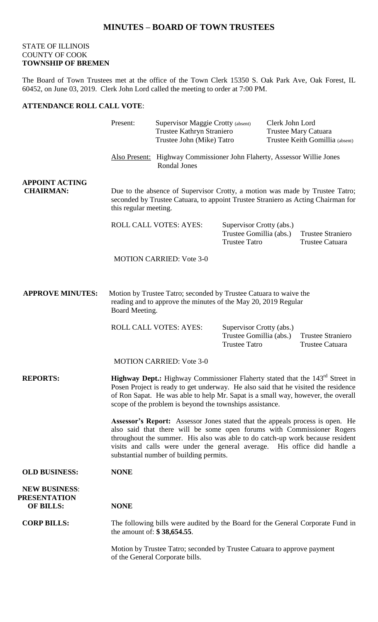## STATE OF ILLINOIS COUNTY OF COOK **TOWNSHIP OF BREMEN**

The Board of Town Trustees met at the office of the Town Clerk 15350 S. Oak Park Ave, Oak Forest, IL 60452, on June 03, 2019. Clerk John Lord called the meeting to order at 7:00 PM.

## **ATTENDANCE ROLL CALL VOTE**:

|                                                                 | Present:                                                                                                                                                                                                                                                                                                                                                        |                                 | <b>Supervisor Maggie Crotty (absent)</b><br>Trustee Kathryn Straniero<br>Trustee John (Mike) Tatro |  | Clerk John Lord<br>Trustee Mary Catuara<br>Trustee Keith Gomillia (absent) |  |
|-----------------------------------------------------------------|-----------------------------------------------------------------------------------------------------------------------------------------------------------------------------------------------------------------------------------------------------------------------------------------------------------------------------------------------------------------|---------------------------------|----------------------------------------------------------------------------------------------------|--|----------------------------------------------------------------------------|--|
|                                                                 |                                                                                                                                                                                                                                                                                                                                                                 | Rondal Jones                    | Also Present: Highway Commissioner John Flaherty, Assessor Willie Jones                            |  |                                                                            |  |
| <b>APPOINT ACTING</b><br><b>CHAIRMAN:</b>                       | Due to the absence of Supervisor Crotty, a motion was made by Trustee Tatro;<br>seconded by Trustee Catuara, to appoint Trustee Straniero as Acting Chairman for<br>this regular meeting.                                                                                                                                                                       |                                 |                                                                                                    |  |                                                                            |  |
|                                                                 | <b>ROLL CALL VOTES: AYES:</b>                                                                                                                                                                                                                                                                                                                                   |                                 | Supervisor Crotty (abs.)<br>Trustee Gomillia (abs.)<br><b>Trustee Tatro</b>                        |  | <b>Trustee Straniero</b><br>Trustee Catuara                                |  |
|                                                                 |                                                                                                                                                                                                                                                                                                                                                                 | <b>MOTION CARRIED: Vote 3-0</b> |                                                                                                    |  |                                                                            |  |
| <b>APPROVE MINUTES:</b>                                         | Motion by Trustee Tatro; seconded by Trustee Catuara to waive the<br>reading and to approve the minutes of the May 20, 2019 Regular<br>Board Meeting.                                                                                                                                                                                                           |                                 |                                                                                                    |  |                                                                            |  |
|                                                                 |                                                                                                                                                                                                                                                                                                                                                                 | <b>ROLL CALL VOTES: AYES:</b>   | Supervisor Crotty (abs.)<br>Trustee Gomillia (abs.)<br><b>Trustee Tatro</b>                        |  | <b>Trustee Straniero</b><br>Trustee Catuara                                |  |
|                                                                 |                                                                                                                                                                                                                                                                                                                                                                 | <b>MOTION CARRIED: Vote 3-0</b> |                                                                                                    |  |                                                                            |  |
| <b>REPORTS:</b>                                                 | <b>Highway Dept.:</b> Highway Commissioner Flaherty stated that the 143 <sup>rd</sup> Street in<br>Posen Project is ready to get underway. He also said that he visited the residence<br>of Ron Sapat. He was able to help Mr. Sapat is a small way, however, the overall<br>scope of the problem is beyond the townships assistance.                           |                                 |                                                                                                    |  |                                                                            |  |
|                                                                 | Assessor's Report: Assessor Jones stated that the appeals process is open. He<br>also said that there will be some open forums with Commissioner Rogers<br>throughout the summer. His also was able to do catch-up work because resident<br>visits and calls were under the general average. His office did handle a<br>substantial number of building permits. |                                 |                                                                                                    |  |                                                                            |  |
| <b>OLD BUSINESS:</b>                                            | <b>NONE</b>                                                                                                                                                                                                                                                                                                                                                     |                                 |                                                                                                    |  |                                                                            |  |
| <b>NEW BUSINESS:</b><br><b>PRESENTATION</b><br><b>OF BILLS:</b> | <b>NONE</b>                                                                                                                                                                                                                                                                                                                                                     |                                 |                                                                                                    |  |                                                                            |  |
| <b>CORP BILLS:</b>                                              | The following bills were audited by the Board for the General Corporate Fund in<br>the amount of: \$38,654.55.                                                                                                                                                                                                                                                  |                                 |                                                                                                    |  |                                                                            |  |
|                                                                 | Motion by Trustee Tatro; seconded by Trustee Catuara to approve payment<br>of the General Corporate bills.                                                                                                                                                                                                                                                      |                                 |                                                                                                    |  |                                                                            |  |